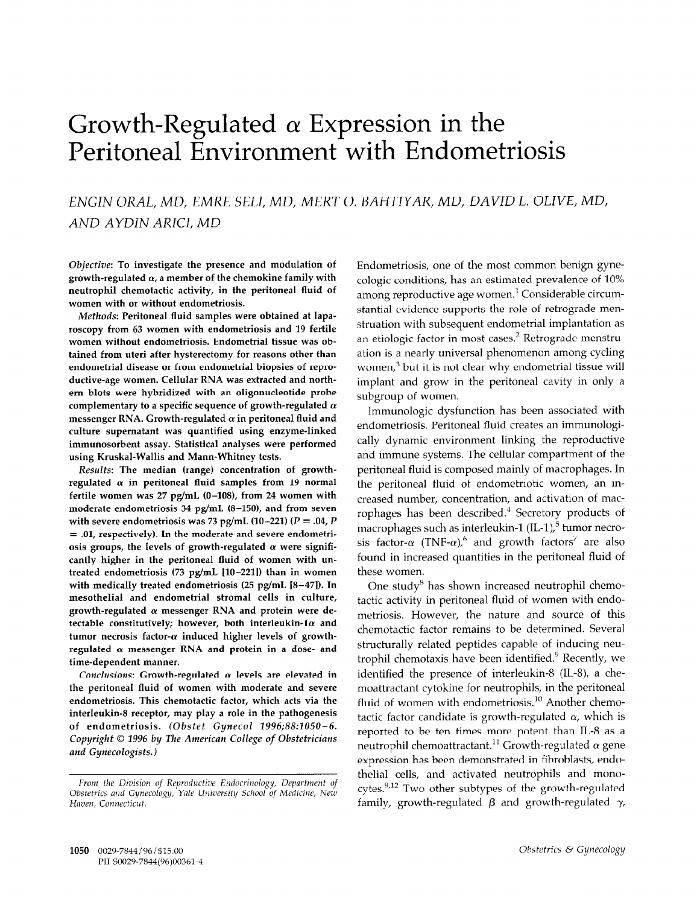# Growth-Regulated  $\alpha$  Expression in the Peritoneal Environment with Endometriosis

# ENGIN ORAL, MD, EMRE SELI, MD, MERT 0. BAHTIYAR, MD, DAVID L. OLIVE, MD, AND AYDIN ARICI, MD

Objective: To investigate the presence and modulation of growth-regulated  $\alpha$ , a member of the chemokine family with neutrophil chemotactic activity, in the peritoneal fluid of women with or without endometriosis.

Methods: Peritoneal fluid samples were obtained at laparoscopy from 63 women with endometriosis and 19 fertile women without endometriosis. Endometrial tissue was obtained from uteri after hysterectomy for reasons other than endometrial disease or from endometrial biopsies of reproductive-age women. Cellular RNA was extracted and northem blots were hybridized with an oligonucleotide probe complementary to a specific sequence of growth-regulated  $\alpha$ messenger RNA. Growth-regulated  $\alpha$  in peritoneal fluid and culture supernatant was quantified using enzyme-linked immunosorbent assay. Statistical analyses were performed using Kruskal-Wallis and Mann-Whitney tests.

Results: The median (range) concentration of growthregulated  $\alpha$  in peritoneal fluid samples from 19 normal fertile women was  $27$  pg/mL (0-108), from 24 women with moderate endometriosis 34 pg/mL (8-150), and from seven with severe endometriosis was 73 pg/mL (10-221) ( $P = .04$ ,  $P$ = .Ol, respectively). In the moderate and severe endometriosis groups, the levels of growth-regulated  $\alpha$  were significantly higher in the peritoneal fluid of women with untreated endometriosis  $(73 \text{ pg/mL} [10-221])$  than in women with medically treated endometriosis (25 pg/mL [8-47]). In mesothelial and endometrial stromal cells in culture, growth-regulated  $\alpha$  messenger RNA and protein were detectable constitutively; however, both interleukin-1 $\alpha$  and tumor necrosis factor- $\alpha$  induced higher levels of growthregulated  $\alpha$  messenger RNA and protein in a dose- and time-dependent manner.

Conclusions: Growth-regulated  $\alpha$  levels are elevated in the peritoneal fluid of women with moderate and severe endometriosis. This chemotactic factor, which acts via the interleukin-8 receptor, may play a role in the pathogenesis of endometriosis. (Obstet Gynecol 1996;88:1050-6. Copyright © 1996 by The American College of Obstetricians<br>and Gynecologists.)

Endometriosis, one of the most common benign gynecologic conditions, has an estimated prevalence of 10% among reproductive age women.' Considerable circumstantial evidence supports the role of retrograde menstruation with subsequent endometrial implantation as an etiologic factor in most cases.<sup>2</sup> Retrograde menstruation is a nearly universal phenomenon among cycling women,<sup>3</sup> but it is not clear why endometrial tissue will implant and grow in the peritoneal cavity in only a subgroup of women.

Immunologic dysfunction has been associated with endometriosis. Peritoneal fluid creates an immunologically dynamic environment linking the reproductive and immune systems. The cellular compartment of the peritoneal fluid is composed mainly of macrophages. In the peritoneal fluid of endometriotic women, an increased number, concentration, and activation of macrophages has been described.<sup>4</sup> Secretory products of macrophages such as interleukin-1  $(IL-1)_i$ <sup>5</sup> tumor necrosis factor- $\alpha$  (TNF- $\alpha$ ),<sup>6</sup> and growth factors<sup>7</sup> are also found in increased quantities in the peritoneal fluid of these women.

One study<sup>8</sup> has shown increased neutrophil chemotactic activity in peritoneal fluid of women with endometriosis. However, the nature and source of this chemotactic factor remains to be determined. Several structurally related peptides capable of inducing neutrophil chemotaxis have been identified.' Recently, we identified the presence of interleukin-8 (IL-8), a chemoattractant cytokine for neutrophils, in the peritoneal fluid of women with endometriosis.<sup>10</sup> Another chemotactic factor candidate is growth-regulated  $\alpha$ , which is reported to be ten times more potent than IL-8 as a neutrophil chemoattractant.<sup>11</sup> Growth-regulated  $\alpha$  gene expression has been demonstrated in fibroblasts, endothelial cells, and activated neutrophils and monocytes.<sup>9,12</sup> Two other subtypes of the growth-regulated family, growth-regulated  $\beta$  and growth-regulated  $\gamma$ ,

From the Division of Reproductive Endocrinology, Department of Trom the Division of Reproductive Endocrinology, Department of Obstetrics and Gynecology, Yale University School of Medicine, New Haven. Connecticut.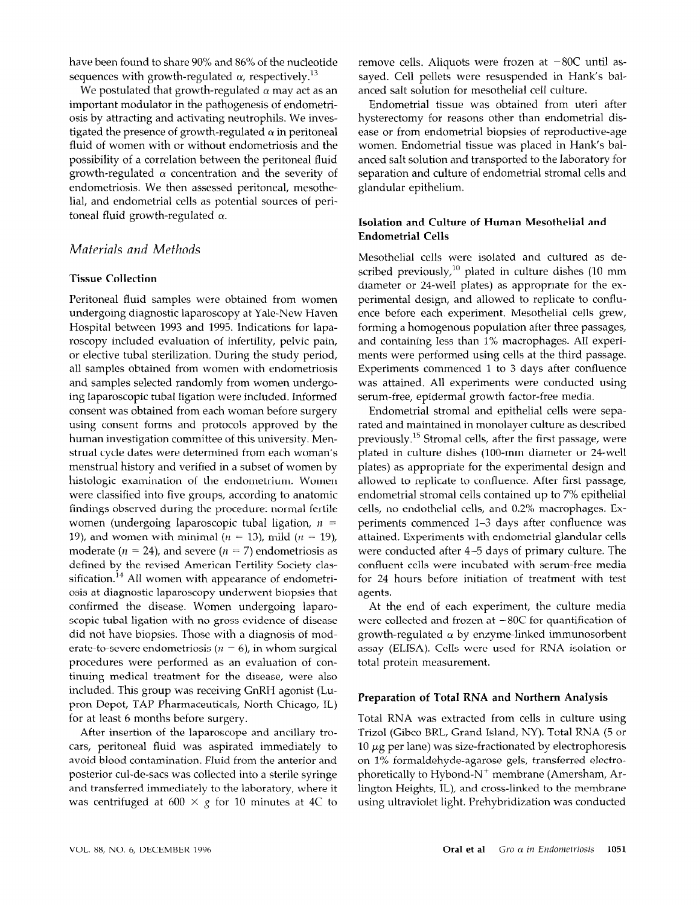have been found to share 90% and 86% of the nucleotide sequences with growth-regulated  $\alpha$ , respectively.<sup>13</sup>

We postulated that growth-regulated  $\alpha$  may act as an important modulator in the pathogenesis of endometriosis by attracting and activating neutrophils. We investigated the presence of growth-regulated  $\alpha$  in peritoneal fluid of women with or without endometriosis and the possibility of a correlation between the peritoneal fluid growth-regulated  $\alpha$  concentration and the severity of endometriosis. We then assessed peritoneal, mesothelial, and endometrial cells as potential sources of peritoneal fluid growth-regulated  $\alpha$ .

# Materials and Methods

#### Tissue Collection

Peritoneal fluid samples were obtained from women undergoing diagnostic laparoscopy at Yale-New Haven Hospital between 1993 and 1995. Indications for laparoscopy included evaluation of infertility, pelvic pain, or elective tubal sterilization. During the study period, all samples obtained from women with endometriosis and samples selected randomly from women undergoing laparoscopic tubal ligation were included. Informed consent was obtained from each woman before surgery using consent forms and protocols approved by the human investigation committee of this university. Menstrual cycle dates were determined from each woman's menstrual history and verified in a subset of women by histologic examination of the endometrium. Women were classified into five groups, according to anatomic findings observed during the procedure: normal fertile women (undergoing laparoscopic tubal ligation,  $n =$ 19), and women with minimal ( $n = 13$ ), mild ( $n = 19$ ), moderate ( $n = 24$ ), and severe ( $n = 7$ ) endometriosis as defined by the revised American Fertility Society classification.<sup>14</sup> All women with appearance of endometriosis at diagnostic laparoscopy underwent biopsies that confirmed the disease. Women undergoing laparoscopic tubal ligation with no gross evidence of disease did not have biopsies. Those with a diagnosis of moderate-to-severe endometriosis ( $n = 6$ ), in whom surgical procedures were performed as an evaluation of continuing medical treatment for the disease, were also included. This group was receiving GnRH agonist (Lupron Depot, TAP Pharmaceuticals, North Chicago, IL) for at least 6 months before surgery.

After insertion of the laparoscope and ancillary trocars, peritoneal fluid was aspirated immediately to ally perform that was aspirated franchically to protection collections into a sterile sympathy into a sterile syringery syringery syringery syringery syringery posterior cul-de-sacs was collected into a sterile syringe and transferred immediately to the laboratory, where it was centrifuged at  $600 \times g$  for 10 minutes at 4C to remove cells. Aliquots were frozen at  $-80C$  until assayed. Cell pellets were resuspended in Hank's balanced salt solution for mesothelial cell culture.

Endometrial tissue was obtained from uteri after hysterectomy for reasons other than endometrial disease or from endometrial biopsies of reproductive-age women. Endometrial tissue was placed in Hank's balanced salt solution and transported to the laboratory for separation and culture of endometrial stromal cells and glandular epithelium.

## Isolation and Culture of Human Mesothelial and Endometrial Cells

Mesothelial cells were isolated and cultured as described previously, $^{10}$  plated in culture dishes (10 mm diameter or 24-well plates) as appropriate for the experimental design, and allowed to replicate to confluence before each experiment. Mesothelial cells grew, forming a homogenous population after three passages, and containing less than 1% macrophages. All experiments were performed using cells at the third passage. Experiments commenced 1 to 3 days after confluence was attained. All experiments were conducted using serum-free, epidermal growth factor-free media.

Endometrial stromal and epithelial cells were separated and maintained in monolayer culture as described previously.<sup>15</sup> Stromal cells, after the first passage, were plated in culture dishes (100-mm diameter or 24-well plates) as appropriate for the experimental design and allowed to replicate to confluence. After first passage, endometrial stromal cells contained up to 7% epithelial cells, no endothelial cells, and 0.2% macrophages. Experiments commenced l-3 days after confluence was attained. Experiments with endometrial glandular cells were conducted after 4-5 days of primary culture. The confluent cells were incubated with serum-free media for 24 hours before initiation of treatment with test agents.

At the end of each experiment, the culture media were collected and frozen at  $-80C$  for quantification of growth-regulated  $\alpha$  by enzyme-linked immunosorbent assay (ELISA). Cells were used for RNA isolation or total protein measurement.

### Preparation of Total RNA and Northern Analysis

Total RNA was extracted from cells in culture using Trizol (Gibco BRL, Grand Island, NY). Total RNA (5 or 10  $\mu$ g per lane) was size-fractionated by electrophoresis on 1% formaldehyde-agarose gels, transferred electro- $\frac{1}{2}$  membrane (American Community of  $\frac{1}{2}$ photon and Heights, IL, and contains to the membrane to the membrane to the membrane to the membrane to the me lington Heights, IL), and cross-linked to the membrane using ultraviolet light. Prehybridization was conducted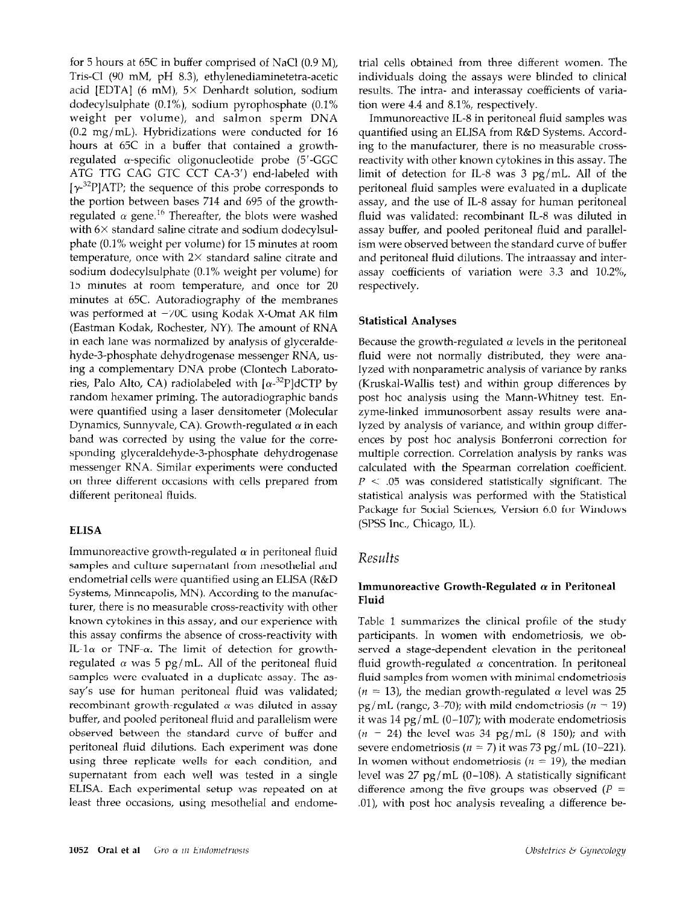for 5 hours at 65C in buffer comprised of NaCl (0.9 M), Tris-Cl (90 mM, pH 8.3), ethylenediaminetetra-acetic acid [EDTA] (6 mM),  $5 \times$  Denhardt solution, sodium dodecylsulphate (O.l%), sodium pyrophosphate (0.1% weight per volume), and salmon sperm DNA (0.2 mg/mL). Hybridizations were conducted for 16 hours at 65C in a buffer that contained a growthregulated  $\alpha$ -specific oligonucleotide probe (5'-GGC ATG TTG CAG GTC CCT CA-3') end-labeled with  $[\gamma^{32}P]$ ATP; the sequence of this probe corresponds to the portion between bases 714 and 695 of the growthregulated  $\alpha$  gene.<sup>16</sup> Thereafter, the blots were washed with  $6\times$  standard saline citrate and sodium dodecylsulphate (0.1% weight per volume) for 15 minutes at room temperature, once with  $2\times$  standard saline citrate and sodium dodecylsulphate (0.1% weight per volume) for 15 minutes at room temperature, and once for 20 minutes at 65C. Autoradiography of the membranes was performed at  $-70C$  using Kodak X-Omat AR film (Eastman Kodak, Rochester, NY). The amount of RNA in each lane was normalized by analysis of glyceraldehyde3-phosphate dehydrogenase messenger RNA, using a complementary DNA probe (Clontech Laboratories, Palo Alto, CA) radiolabeled with  $\left[\alpha^{-32}P\right]$ dCTP by random hexamer priming. The autoradiographic bands were quantified using a laser densitometer (Molecular Dynamics, Sunnyvale, CA). Growth-regulated  $\alpha$  in each band was corrected by using the value for the corresponding glyceraldehyde-3-phosphate dehydrogenase messenger RNA. Similar experiments were conducted on three different occasions with cells prepared from different peritoneal fluids.

#### **ELISA**

Immunoreactive growth-regulated  $\alpha$  in peritoneal fluid samples and culture supernatant from mesothelial and endometrial cells were quantified using an ELISA (R&D Systems, Minneapolis, MN). According to the manufacturer, there is no measurable cross-reactivity with other known cytokines in this assay, and our experience with this assay confirms the absence of cross-reactivity with IL-1 $\alpha$  or TNF- $\alpha$ . The limit of detection for growthregulated  $\alpha$  was 5 pg/mL. All of the peritoneal fluid samples were evaluated in a duplicate assay. The assay's use for human peritoneal fluid was validated; recombinant growth-regulated  $\alpha$  was diluted in assay  $\frac{1}{2}$   $\frac{1}{2}$   $\frac{1}{2}$   $\frac{1}{2}$   $\frac{1}{2}$   $\frac{1}{2}$   $\frac{1}{2}$   $\frac{1}{2}$   $\frac{1}{2}$   $\frac{1}{2}$   $\frac{1}{2}$   $\frac{1}{2}$   $\frac{1}{2}$   $\frac{1}{2}$   $\frac{1}{2}$   $\frac{1}{2}$   $\frac{1}{2}$   $\frac{1}{2}$   $\frac{1}{2}$   $\frac{1}{2}$   $\frac{1}{2}$   $\frac{1}{2}$  outer, and pooled permonent than and parametrism were poserved between the standard carve of baner and performant three replications. Each experiment was done using three replicate wells for each condition, and supernatant from each well was tested in a single ELISA. Each experimental setup was repeated on at least three occasions, using mesothelial and endome-

trial cells obtained from three different women. The individuals doing the assays were blinded to clinical results. The intra- and interassay coefficients of variation were 4.4 and 8.1%, respectively.

Immunoreactive IL-8 in peritoneal fluid samples was quantified using an ELISA from R&D Systems. According to the manufacturer, there is no measurable crossreactivity with other known cytokines in this assay. The limit of detection for IL-8 was 3 pg/mL. All of the peritoneal fluid samples were evaluated in a duplicate assay, and the use of IL-8 assay for human peritoneal fluid was validated: recombinant IL-8 was diluted in assay buffer, and pooled peritoneal fluid and parallelism were observed between the standard curve of buffer and peritoneal fluid dilutions. The intraassay and interassay coefficients of variation were 3.3 and 10.2%, respectively.

#### Statistical Analyses

Because the growth-regulated  $\alpha$  levels in the peritoneal fluid were not normally distributed, they were analyzed with nonparametric analysis of variance by ranks (Kruskal-Wallis test) and within group differences by post hoc analysis using the Mann-Whitney test. Enzyme-linked immunosorbent assay results were analyzed by analysis of variance, and within group differences by post hoc analysis Bonferroni correction for multiple correction. Correlation analysis by ranks was calculated with the Spearman correlation coefficient.  $P < .05$  was considered statistically significant. The statistical analysis was performed with the Statistical Package for Social Sciences, Version 6.0 for Windows (SPSS Inc., Chicago, IL).

#### Results

### Immunoreactive Growth-Regulated  $\alpha$  in Peritoneal Fluid

Table 1 summarizes the clinical profile of the study participants. In women with endometriosis, we observed a stage-dependent elevation in the peritoneal fluid growth-regulated  $\alpha$  concentration. In peritoneal fluid samples from women with minimal endometriosis ( $n = 13$ ), the median growth-regulated  $\alpha$  level was 25 pg/mL (range, 3-70); with mild endometriosis ( $n = 19$ ) it was  $14$  pg/mL (0-107); with moderate endometriosis  $(n = 24)$  the level was 34 pg/mL (8-150); and with severe endometriosis ( $n = 7$ ) it was 73 pg/mL (10-221).  $\sum_{i=1}^{n}$  in  $\sum_{i=1}^{n}$  = 19), the median with  $\sum_{i=1}^{n}$  $\ln m$  which willow chamelitosis  $\mu = 1/ \mu$  are fitum level was 27  $pg/mL$  (0-108). A statistically significant difference among the five groups was observed ( $P = .01$ ), with post hoc analysis revealing a difference be-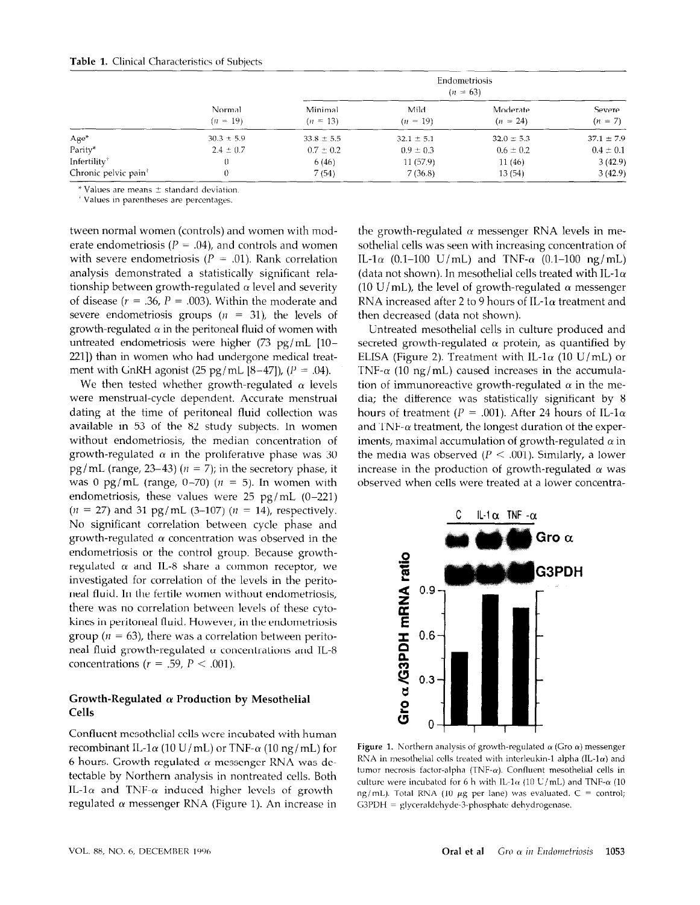|                                               | Normal<br>$(n = 19)$ | Endometriosis<br>$(n = 63)$ |                    |                        |                     |
|-----------------------------------------------|----------------------|-----------------------------|--------------------|------------------------|---------------------|
|                                               |                      | Minimal<br>$(n = 13)$       | Mild<br>$(n = 19)$ | Moderate<br>$(n = 24)$ | Severe<br>$(n = 7)$ |
| Age*                                          | $30.3 \pm 5.9$       | $33.8 \pm 5.5$              | $32.1 \pm 5.1$     | $32.0 \pm 5.3$         | $371 \pm 79$        |
| Parity*                                       | $2.4 \pm 0.7$        | $0.7 \pm 0.2$               | $0.9 \pm 0.3$      | $0.6 \pm 0.2$          | $0.4 \pm 0.1$       |
| Infertility <sup>†</sup>                      | 0                    | 6(46)                       | 11(57.9)           | 11(46)                 | 3(42.9)             |
| Chronic pelvic pain <sup><math>†</math></sup> | 0                    | 7(54)                       | 7(36.8)            | 13(54)                 | 3(42.9)             |

 $*$  Values are means  $\pm$  standard deviation.

<sup>+</sup> Values in parentheses are percentages.

tween normal women (controls) and women with moderate endometriosis ( $P = .04$ ), and controls and women with severe endometriosis ( $P = .01$ ). Rank correlation analysis demonstrated a statistically significant relationship between growth-regulated  $\alpha$  level and severity of disease ( $r = .36$ ,  $P = .003$ ). Within the moderate and severe endometriosis groups ( $n = 31$ ), the levels of growth-regulated  $\alpha$  in the peritoneal fluid of women with untreated endometriosis were higher (73 pg/mL [10-2211) than in women who had undergone medical treatment with GnRH agonist (25 pg/mL  $[8-47]$ ), ( $P = .04$ ).

We then tested whether growth-regulated  $\alpha$  levels were menstrual-cycle dependent. Accurate menstrual dating at the time of peritoneal fluid collection was available in 53 of the 82 study subjects. In women without endometriosis, the median concentration of growth-regulated  $\alpha$  in the proliferative phase was 30 pg/mL (range, 23–43) ( $n = 7$ ); in the secretory phase, it was 0 pg/mL (range, 0-70) ( $n = 5$ ). In women with endometriosis, these values were  $25$  pg/mL (0-221)  $(n = 27)$  and 31 pg/mL (3-107)  $(n = 14)$ , respectively. No significant correlation between cycle phase and growth-regulated  $\alpha$  concentration was observed in the endometriosis or the control group. Because growthregulated  $\alpha$  and IL-8 share a common receptor, we investigated for correlation of the levels in the peritoneal fluid. In the fertile women without endometriosis, there was no correlation between levels of these cytokines in peritoneal fluid. However, in the endometriosis group ( $n = 63$ ), there was a correlation between peritoneal fluid growth-regulated  $\alpha$  concentrations and IL-8 concentrations ( $r = .59$ ,  $P < .001$ ).

#### Growth-Regulated  $\alpha$  Production by Mesothelial Cells

Confluent mesothelial cells were incubated with human recombinant IL-1 $\alpha$  (10 U/mL) or TNF- $\alpha$  (10 ng/mL) for 6 hours. Growth-regulated  $\alpha$  messenger RNA was detectable by Northern analysis in nontreated cells. Both IL-1 $\alpha$  and TNF- $\alpha$  induced higher levels of growthregulated  $\alpha$  messenger RNA (Figure 1). An increase in

the growth-regulated  $\alpha$  messenger RNA levels in mesothelial cells was seen with increasing concentration of IL-1 $\alpha$  (0.1-100 U/mL) and TNF- $\alpha$  (0.1-100 ng/mL) (data not shown). In mesothelial cells treated with IL-1 $\alpha$ (10 U/mL), the level of growth-regulated  $\alpha$  messenger RNA increased after 2 to 9 hours of IL-1 $\alpha$  treatment and then decreased (data not shown).

Untreated mesothelial cells in culture produced and secreted growth-regulated  $\alpha$  protein, as quantified by ELISA (Figure 2). Treatment with IL-1 $\alpha$  (10 U/mL) or TNF- $\alpha$  (10 ng/mL) caused increases in the accumulation of immunoreactive growth-regulated  $\alpha$  in the media; the difference was statistically significant by 8 hours of treatment ( $P = .001$ ). After 24 hours of IL-1 $\alpha$ and TNF- $\alpha$  treatment, the longest duration of the experiments, maximal accumulation of growth-regulated  $\alpha$  in the media was observed ( $P < .001$ ). Similarly, a lower increase in the production of growth-regulated  $\alpha$  was observed when cells were treated at a lower concentra-



right r. Norment analysis of growth regarded with original sessingles RNA in mesothelial cells treated with interleukin-1 alpha (IL-1 $\alpha$ ) and tumor necrosis factor-alpha (TNF- $\alpha$ ). Confluent mesothelial cells in culture were incubated for 6 h with IL-1 $\alpha$  (10 U/mL) and TNF- $\alpha$  (10 cannot nece including for  $\sigma$  if which is rat (10  $\sigma$ ) may dive 1141 at (3 ng/mb). Total Kivis (10 pg per lane) was evalua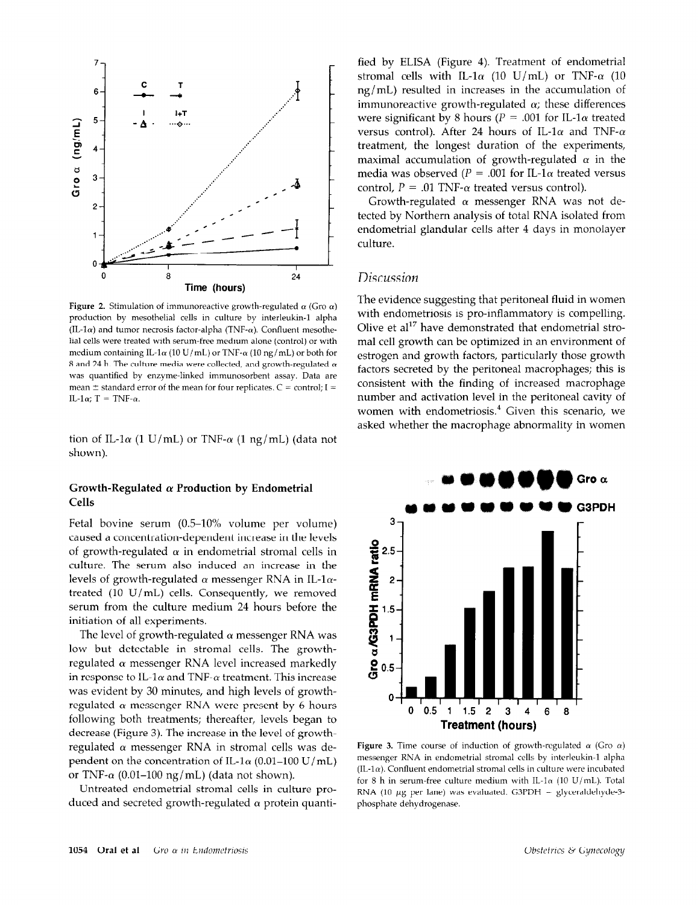

Figure 2. Stimulation of immunoreactive growth-regulated  $\alpha$  (Gro  $\alpha$ ) production by mesothelial cells in culture by interleukin-1 alpha (IL-1 $\alpha$ ) and tumor necrosis factor-alpha (TNF- $\alpha$ ). Confluent mesothelial cells were treated with serum-free medium alone (control) or with medium containing IL-1 $\alpha$  (10 U/mL) or TNF- $\alpha$  (10 ng/mL) or both for 8 and 24 h. The culture media were collected, and growth-regulated  $\alpha$ was quantified by enzyme-linked immunosorbent assay. Data are mean  $\pm$  standard error of the mean for four replicates. C = control; I = IL-1 $\alpha$ ; T = TNF- $\alpha$ .

tion of IL-1 $\alpha$  (1 U/mL) or TNF- $\alpha$  (1 ng/mL) (data not shown).

# Cells

Fetal bovine serum (0.5-10% volume per volume) caused a concentration-dependent increase in the levels of growth-regulated  $\alpha$  in endometrial stromal cells in culture. The serum also induced an increase in the levels of growth-regulated  $\alpha$  messenger RNA in IL-1 $\alpha$ treated (10 U/mL) cells. Consequently, we removed serum from the culture medium 24 hours before the initiation of all experiments.

The level of growth-regulated  $\alpha$  messenger RNA was low but detectable in stromal cells. The growthregulated  $\alpha$  messenger RNA level increased markedly in response to IL-1 $\alpha$  and TNF- $\alpha$  treatment. This increase was evident by 30 minutes, and high levels of growthregulated  $\alpha$  messenger RNA were present by 6 hours following both treatments; thereafter, levels began to decrease (Figure 3). The increase in the level of growthregulated  $\alpha$  messenger RNA in stromal cells was dependent on the concentration of IL-1 $\alpha$  (0.01–100 U/mL) or TNF- $\alpha$  (0.01–100 ng/mL) (data not shown).

Untreated endometrial stromal cells in culture produced and secreted growth-regulated  $\alpha$  protein quanti-

fied by ELISA (Figure 4). Treatment of endometrial stromal cells with IL-1 $\alpha$  (10 U/mL) or TNF- $\alpha$  (10 ng/mL) resulted in increases in the accumulation of immunoreactive growth-regulated  $\alpha$ ; these differences were significant by 8 hours ( $P = .001$  for IL-1 $\alpha$  treated versus control). After 24 hours of IL-1 $\alpha$  and TNF- $\alpha$ treatment, the longest duration of the experiments, maximal accumulation of growth-regulated  $\alpha$  in the media was observed ( $P = .001$  for IL-1 $\alpha$  treated versus control,  $P = .01$  TNF- $\alpha$  treated versus control).

Growth-regulated  $\alpha$  messenger RNA was not detected by Northern analysis of total RNA isolated from endometrial glandular cells after 4 days in monolayer culture.

#### Discussion

The evidence suggesting that peritoneal fluid in women with endometriosis is pro-inflammatory is compelling. Olive et  $al^{17}$  have demonstrated that endometrial stroma1 cell growth can be optimized in an environment of estrogen and growth factors, particularly those growth factors secreted by the peritoneal macrophages; this is consistent with the finding of increased macrophage number and activation level in the peritoneal cavity of women with endometriosis.<sup>4</sup> Given this scenario, we asked whether the macrophage abnormality in women



**Figure 3.** Time course of induction of growth-regulated  $\alpha$  (Gro  $\alpha$ )  $\mathcal{L}_{\mathbf{p}}$  in the stromal cells by interleuking-1 alphabetrial cells by interleuking-1 alphabetrial cells  $\mathcal{L}_{\mathbf{p}}$  $\sum_{i=1}^{n}$ (IL-1 $\alpha$ ). Confluent endometrial stromal cells in culture were incubated for 8 h in serum-free culture medium with IL-1 $\alpha$  (10 U/mL). Total RNA (10  $\mu$ g per lane) was evaluated. G3PDH = glyceraldehyde-3-<br>phosphate dehydrogenase.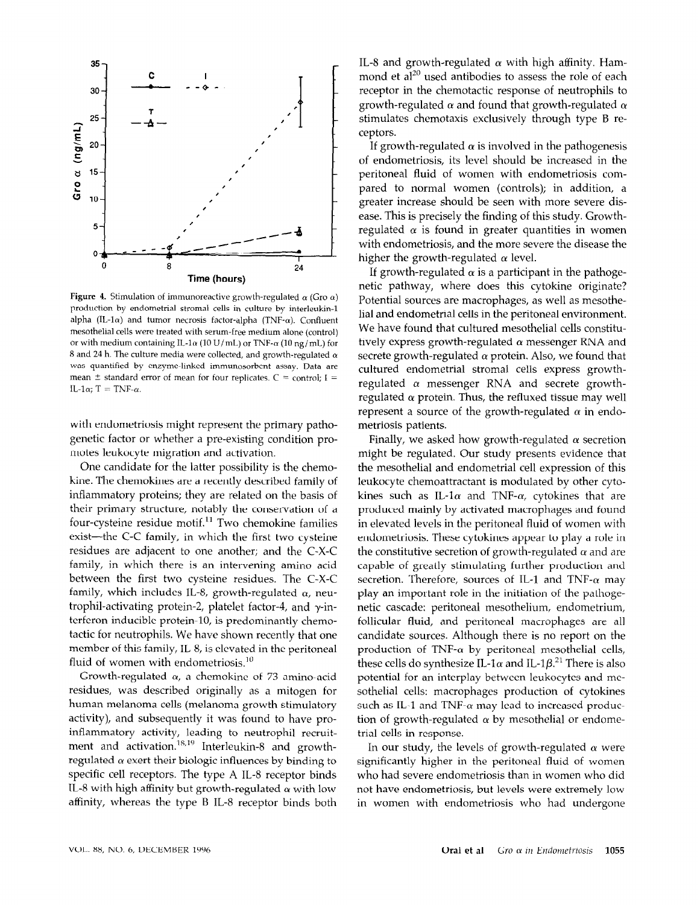

Figure 4. Stimulation of immunoreactive growth-regulated  $\alpha$  (Gro  $\alpha$ ) production by endometrial stromal cells in culture by interleukin-1 alpha (IL-1 $\alpha$ ) and tumor necrosis factor-alpha (TNF- $\alpha$ ). Confluent mesothelial cells were treated with serum-free medium alone (control) or with medium containing IL-1 $\alpha$  (10 U/mL) or TNF- $\alpha$  (10 ng/mL) for 8 and 24 h. The culture media were collected, and growth-regulated  $\alpha$ was quantified by enzyme-linked immunosorbent assay. Data are mean  $\pm$  standard error of mean for four replicates.  $C =$  control; I = IL-1 $\alpha$ ; T = TNF- $\alpha$ .

with endometriosis might represent the primary pathogenetic factor or whether a pre-existing condition promotes leukocyte migration and activation.

One candidate for the latter possibility is the chemokine. The chemokines are a recently described family of inflammatory proteins; they are related on the basis of their primary structure, notably the conservation of a four-cysteine residue motif.<sup>11</sup> Two chemokine families exist-the C-C family, in which the first two cysteine residues are adjacent to one another; and the C-X-C family, in which there is an intervening amino acid between the first two cysteine residues. The C-X-C family, which includes IL-8, growth-regulated  $\alpha$ , neutrophil-activating protein-2, platelet factor-4, and  $\gamma$ -interferon-inducible protein-10, is predominantly chemotactic for neutrophils. We have shown recently that one member of this family, IL-8, is elevated in the peritoneal fluid of women with endometriosis. $10$ 

Growth-regulated  $\alpha$ , a chemokine of 73 amino-acid residues, was described originally as a mitogen for human melanoma cells (melanoma growth stimulatory activity), and subsequently it was found to have proinflammatory activity, leading to neutrophil recruitment and activation.<sup>18,19</sup> Interleukin-8 and growthregulated and activation. There exert and growthregulated a exert their protogic intituences by binding to specific cell receptors. The type A IL-8 receptor binds IL-8 with high affinity but growth-regulated  $\alpha$  with low affinity, whereas the type B IL-8 receptor binds both

IL-8 and growth-regulated  $\alpha$  with high affinity. Hammond et  $al^{20}$  used antibodies to assess the role of each receptor in the chemotactic response of neutrophils to growth-regulated  $\alpha$  and found that growth-regulated  $\alpha$ stimulates chemotaxis exclusively through type B receptors.

If growth-regulated  $\alpha$  is involved in the pathogenesis of endometriosis, its level should be increased in the peritoneal fluid of women with endometriosis compared to normal women (controls); in addition, a greater increase should be seen with more severe disease. This is precisely the finding of this study. Growthregulated  $\alpha$  is found in greater quantities in women with endometriosis, and the more severe the disease the higher the growth-regulated  $\alpha$  level.

If growth-regulated  $\alpha$  is a participant in the pathogenetic pathway, where does this cytokine originate? Potential sources are macrophages, as well as mesothelial and endometrial cells in the peritoneal environment. We have found that cultured mesothelial cells constitutively express growth-regulated  $\alpha$  messenger RNA and secrete growth-regulated  $\alpha$  protein. Also, we found that cultured endometrial stromal cells express growthregulated  $\alpha$  messenger RNA and secrete growthregulated  $\alpha$  protein. Thus, the refluxed tissue may well represent a source of the growth-regulated  $\alpha$  in endometriosis patients.

Finally, we asked how growth-regulated  $\alpha$  secretion might be regulated. Our study presents evidence that the mesothelial and endometrial cell expression of this leukocyte chemoattractant is modulated by other cytokines such as IL-1 $\alpha$  and TNF- $\alpha$ , cytokines that are produced mainly by activated macrophages and found in elevated levels in the peritoneal fluid of women with endometriosis. These cytokines appear to play a role in the constitutive secretion of growth-regulated  $\alpha$  and are capable of greatly stimulating further production and secretion. Therefore, sources of IL-1 and TNF- $\alpha$  may play an important role in the initiation of the pathogenetic cascade: peritoneal mesothelium, endometrium, follicular fluid, and peritoneal macrophages are all candidate sources. Although there is no report on the production of TNF- $\alpha$  by peritoneal mesothelial cells, these cells do synthesize IL-1 $\alpha$  and IL-1 $\beta$ <sup>21</sup>. There is also potential for an interplay between leukocytes and mesothelial cells: macrophages production of cytokines such as IL-1 and TNF- $\alpha$  may lead to increased produc $t_{\text{ref}}$  of growth-regulated ( $t_{\text{ref}}$  by mesothelial or endometion or grown-regulate archief in despoise.

 $\frac{1}{2}$  in our study, the levels of growth-legulated  $\alpha$  were significantly higher in the peritoneal fluid of women<br>who had severe endometriosis than in women who did who had severe endometriosis than in women who did in have endometriosis, but levels were extremely low